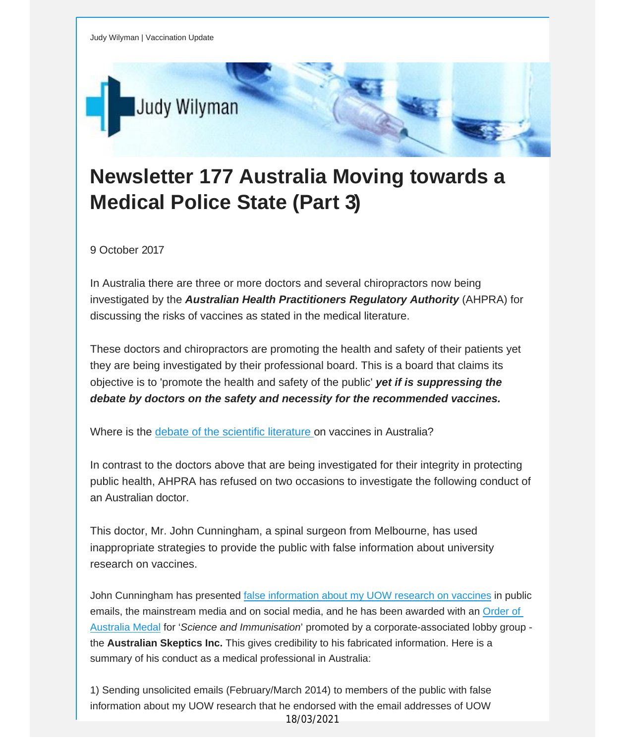

## **Newsletter 177 Australia Moving towards a Medical Police State (Part 3)**

9 October 2017

In Australia there are three or more doctors and several chiropractors now being investigated by the *Australian Health Practitioners Regulatory Authority* (AHPRA) for discussing the risks of vaccines as stated in the medical literature.

These doctors and chiropractors are promoting the health and safety of their patients yet they are being investigated by their professional board. This is a board that claims its objective is to 'promote the health and safety of the public' *yet if is suppressing the debate by doctors on the safety and necessity for the recommended vaccines.*

Where is the debate of the scientific [literature](http://vaccinationdecisions.us8.list-manage.com/track/click?u=f20605fde3732e41929f4a3f2&id=6efb967261&e=fec8337d3c) on vaccines in Australia?

In contrast to the doctors above that are being investigated for their integrity in protecting public health, AHPRA has refused on two occasions to investigate the following conduct of an Australian doctor.

This doctor, Mr. John Cunningham, a spinal surgeon from Melbourne, has used inappropriate strategies to provide the public with false information about university research on vaccines.

John Cunningham has presented false [information](http://vaccinationdecisions.us8.list-manage.com/track/click?u=f20605fde3732e41929f4a3f2&id=45880d1041&e=fec8337d3c) about my UOW research on vaccines in public emails, the mainstream media and on social media, and he has been awarded with an [Order](http://vaccinationdecisions.us8.list-manage.com/track/click?u=f20605fde3732e41929f4a3f2&id=4a9b50d9ef&e=fec8337d3c) of [Australia](http://vaccinationdecisions.us8.list-manage.com/track/click?u=f20605fde3732e41929f4a3f2&id=4a9b50d9ef&e=fec8337d3c) Medal for '*Science and Immunisation*' promoted by a corporate-associated lobby group the **Australian Skeptics Inc.** This gives credibility to his fabricated information. Here is a summary of his conduct as a medical professional in Australia:

1) Sending unsolicited emails (February/March 2014) to members of the public with false information about my UOW research that he endorsed with the email addresses of UOW 18/03/2021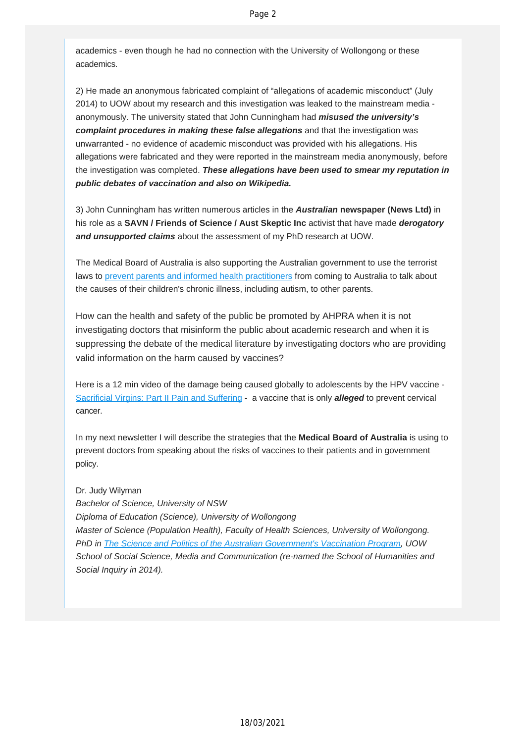academics - even though he had no connection with the University of Wollongong or these academics.

2) He made an anonymous fabricated complaint of "allegations of academic misconduct" (July 2014) to UOW about my research and this investigation was leaked to the mainstream media anonymously. The university stated that John Cunningham had *misused the university's complaint procedures in making these false allegations* and that the investigation was unwarranted - no evidence of academic misconduct was provided with his allegations. His allegations were fabricated and they were reported in the mainstream media anonymously, before the investigation was completed. *These allegations have been used to smear my reputation in public debates of vaccination and also on Wikipedia.*

3) John Cunningham has written numerous articles in the *Australian* **newspaper (News Ltd)** in his role as a **SAVN / Friends of Science / Aust Skeptic Inc** activist that have made *derogatory and unsupported claims* about the assessment of my PhD research at UOW.

The Medical Board of Australia is also supporting the Australian government to use the terrorist laws to [prevent parents and informed health practitioners](http://vaccinationdecisions.us8.list-manage.com/track/click?u=f20605fde3732e41929f4a3f2&id=6712c11e10&e=fec8337d3c) from coming to Australia to talk about the causes of their children's chronic illness, including autism, to other parents.

How can the health and safety of the public be promoted by AHPRA when it is not investigating doctors that misinform the public about academic research and when it is suppressing the debate of the medical literature by investigating doctors who are providing valid information on the harm caused by vaccines?

Here is a 12 min video of the damage being caused globally to adolescents by the HPV vaccine - [Sacrificial Virgins: Part II Pain and Suffering](http://vaccinationdecisions.us8.list-manage.com/track/click?u=f20605fde3732e41929f4a3f2&id=34f400fbfa&e=fec8337d3c) - a vaccine that is only *alleged* to prevent cervical cancer.

In my next newsletter I will describe the strategies that the **Medical Board of Australia** is using to prevent doctors from speaking about the risks of vaccines to their patients and in government policy.

Dr. Judy Wilyman *Bachelor of Science, University of NSW Diploma of Education (Science), University of Wollongong Master of Science (Population Health), Faculty of Health Sciences, University of Wollongong. PhD in [The Science and Politics of the Australian Government's Vaccination Program](http://vaccinationdecisions.us8.list-manage.com/track/click?u=f20605fde3732e41929f4a3f2&id=c5527fe170&e=fec8337d3c), UOW School of Social Science, Media and Communication (re-named the School of Humanities and Social Inquiry in 2014).*